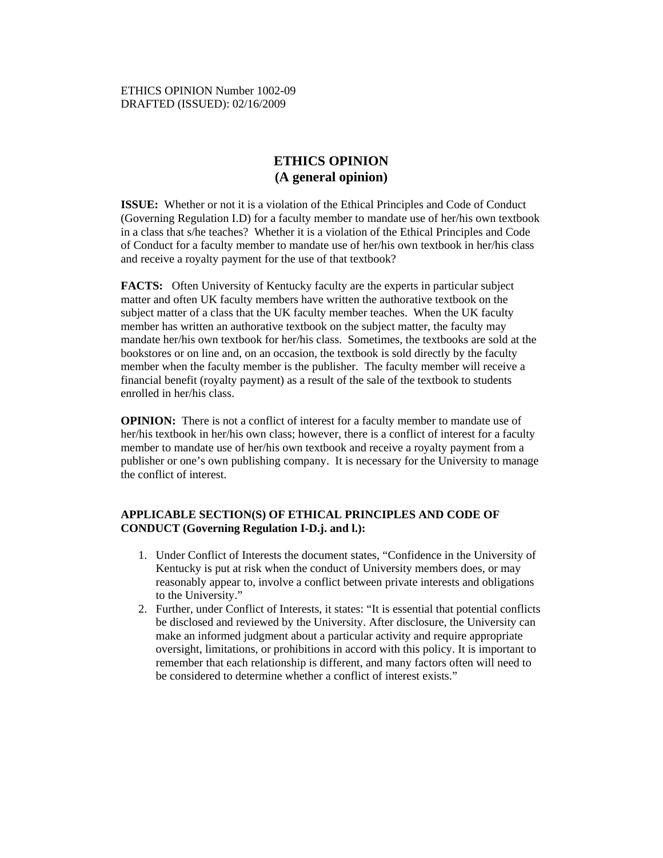## **ETHICS OPINION (A general opinion)**

**ISSUE:** Whether or not it is a violation of the Ethical Principles and Code of Conduct (Governing Regulation I.D) for a faculty member to mandate use of her/his own textbook in a class that s/he teaches? Whether it is a violation of the Ethical Principles and Code of Conduct for a faculty member to mandate use of her/his own textbook in her/his class and receive a royalty payment for the use of that textbook?

**FACTS:** Often University of Kentucky faculty are the experts in particular subject matter and often UK faculty members have written the authorative textbook on the subject matter of a class that the UK faculty member teaches. When the UK faculty member has written an authorative textbook on the subject matter, the faculty may mandate her/his own textbook for her/his class. Sometimes, the textbooks are sold at the bookstores or on line and, on an occasion, the textbook is sold directly by the faculty member when the faculty member is the publisher. The faculty member will receive a financial benefit (royalty payment) as a result of the sale of the textbook to students enrolled in her/his class.

**OPINION:** There is not a conflict of interest for a faculty member to mandate use of her/his textbook in her/his own class; however, there is a conflict of interest for a faculty member to mandate use of her/his own textbook and receive a royalty payment from a publisher or one's own publishing company. It is necessary for the University to manage the conflict of interest.

## **APPLICABLE SECTION(S) OF ETHICAL PRINCIPLES AND CODE OF CONDUCT (Governing Regulation I-D.j. and l.):**

- 1. Under Conflict of Interests the document states, "Confidence in the University of Kentucky is put at risk when the conduct of University members does, or may reasonably appear to, involve a conflict between private interests and obligations to the University."
- 2. Further, under Conflict of Interests, it states: "It is essential that potential conflicts be disclosed and reviewed by the University. After disclosure, the University can make an informed judgment about a particular activity and require appropriate oversight, limitations, or prohibitions in accord with this policy. It is important to remember that each relationship is different, and many factors often will need to be considered to determine whether a conflict of interest exists."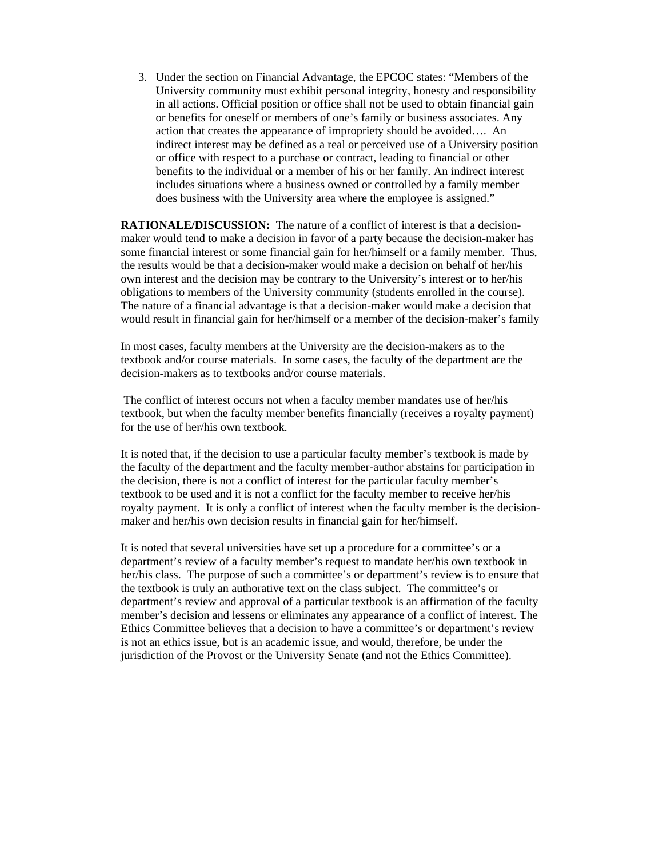3. Under the section on Financial Advantage, the EPCOC states: "Members of the University community must exhibit personal integrity, honesty and responsibility in all actions. Official position or office shall not be used to obtain financial gain or benefits for oneself or members of one's family or business associates. Any action that creates the appearance of impropriety should be avoided…. An indirect interest may be defined as a real or perceived use of a University position or office with respect to a purchase or contract, leading to financial or other benefits to the individual or a member of his or her family. An indirect interest includes situations where a business owned or controlled by a family member does business with the University area where the employee is assigned."

**RATIONALE/DISCUSSION:** The nature of a conflict of interest is that a decisionmaker would tend to make a decision in favor of a party because the decision-maker has some financial interest or some financial gain for her/himself or a family member. Thus, the results would be that a decision-maker would make a decision on behalf of her/his own interest and the decision may be contrary to the University's interest or to her/his obligations to members of the University community (students enrolled in the course). The nature of a financial advantage is that a decision-maker would make a decision that would result in financial gain for her/himself or a member of the decision-maker's family

In most cases, faculty members at the University are the decision-makers as to the textbook and/or course materials. In some cases, the faculty of the department are the decision-makers as to textbooks and/or course materials.

 The conflict of interest occurs not when a faculty member mandates use of her/his textbook, but when the faculty member benefits financially (receives a royalty payment) for the use of her/his own textbook.

It is noted that, if the decision to use a particular faculty member's textbook is made by the faculty of the department and the faculty member-author abstains for participation in the decision, there is not a conflict of interest for the particular faculty member's textbook to be used and it is not a conflict for the faculty member to receive her/his royalty payment. It is only a conflict of interest when the faculty member is the decisionmaker and her/his own decision results in financial gain for her/himself.

It is noted that several universities have set up a procedure for a committee's or a department's review of a faculty member's request to mandate her/his own textbook in her/his class. The purpose of such a committee's or department's review is to ensure that the textbook is truly an authorative text on the class subject. The committee's or department's review and approval of a particular textbook is an affirmation of the faculty member's decision and lessens or eliminates any appearance of a conflict of interest. The Ethics Committee believes that a decision to have a committee's or department's review is not an ethics issue, but is an academic issue, and would, therefore, be under the jurisdiction of the Provost or the University Senate (and not the Ethics Committee).